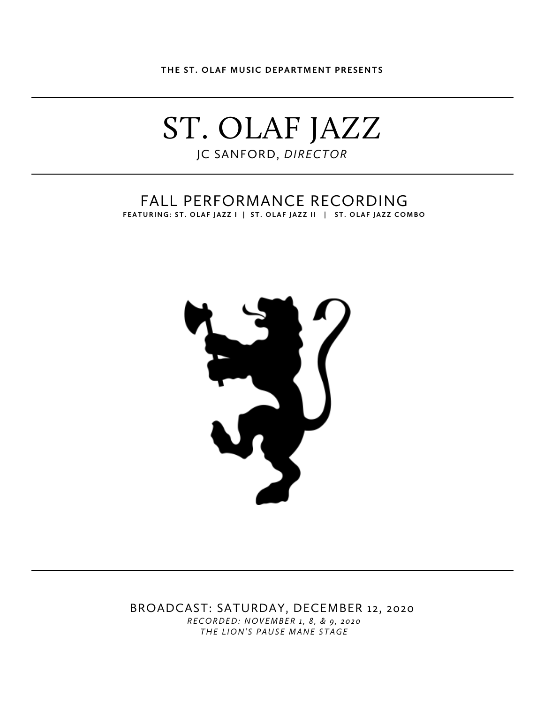**THE ST. OLAF MUSIC DEPARTMENT PRESENTS**

# ST. OLAF JAZZ JC SANFORD, *DIRECTOR*

### FALL PERFORMANCE RECORDING **FEATURING: ST. OLAF JAZZ I | ST. OLAF JAZZ II | ST. OLAF JAZZ COMBO**



BROADCAST: SATURDAY, DECEMBER 12, 2020 *RECORDED: NOVEMBER 1, 8, & 9, 2020 THE LION'S PAUSE MANE STAGE*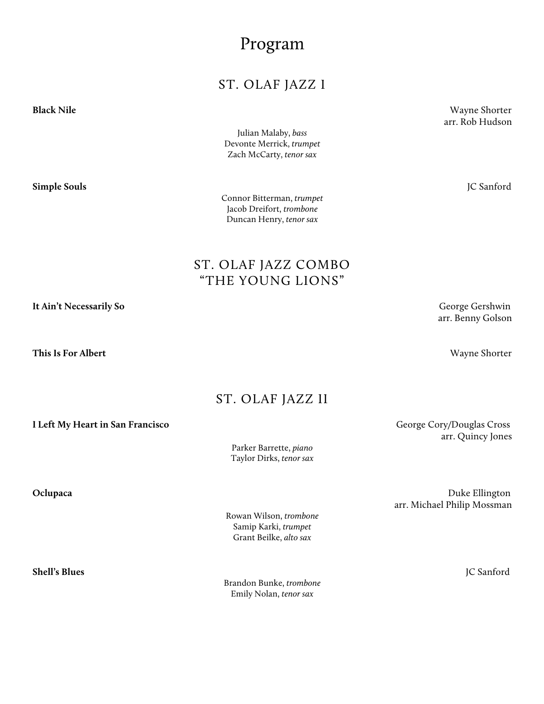# Program

### ST. OLAF JAZZ I

**Black Nile** Wayne Shorter

Julian Malaby, *bass* Devonte Merrick, *trumpet* Zach McCarty, *tenor sax*

**Simple Souls** JC Sanford

Connor Bitterman, *trumpet* Jacob Dreifort, *trombone* Duncan Henry, *tenor sax*

ST. OLAF JAZZ COMBO "THE YOUNG LIONS"

**It Ain't Necessarily So** George Gershwin arr. Benny Golson

### ST. OLAF JAZZ II

Parker Barrette, *piano* Taylor Dirks, *tenor sax*

**Oclupaca** Duke Ellington arr. Michael Philip Mossman

**Shell's Blues** JC Sanford

Brandon Bunke, *trombone* Emily Nolan, *tenor sax*

arr. Quincy Jones

arr. Rob Hudson

**This Is For Albert** Wayne Shorter

**I Left My Heart in San Francisco** George Cory/Douglas Cross

Rowan Wilson, *trombone* Samip Karki, *trumpet* Grant Beilke, *alto sax*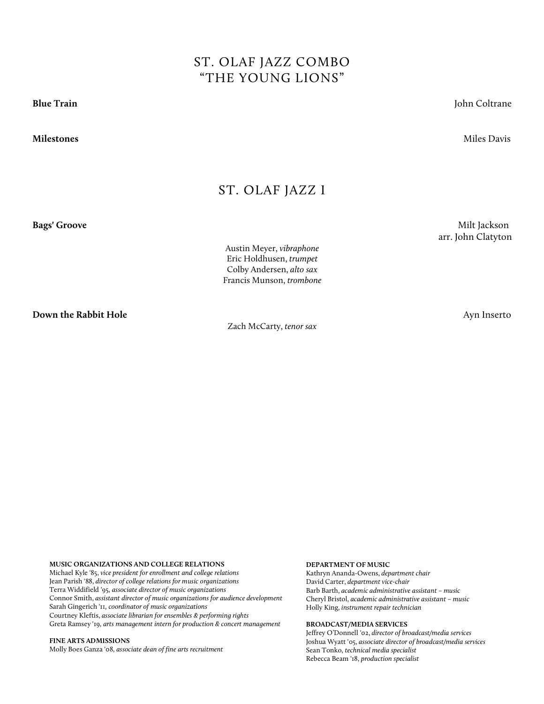## ST. OLAF JAZZ COMBO "THE YOUNG LIONS"

**Blue Train** John Coltrane

**Milestones** Miles Davis

### ST. OLAF JAZZ I

**Bags' Groove** Milt Jackson

Austin Meyer, *vibraphone* Eric Holdhusen, *trumpet* Colby Andersen, *alto sax* Francis Munson, *trombone*

**Down the Rabbit Hole** Ayn Inserto

Zach McCarty, *tenor sax*

arr. John Clatyton

#### **MUSIC ORGANIZATIONS AND COLLEGE RELATIONS**

Michael Kyle '85, *vice president for enrollment and college relations* Jean Parish '88, *director of college relations for music organizations*  Terra Widdifield '95, *associate director of music organizations*  Connor Smith, *assistant director of music organizations for audience development* Sarah Gingerich '11*, coordinator of music organizations* Courtney Kleftis, *associate librarian for ensembles & performing rights* Greta Ramsey '19, *arts management intern for production & concert management*

**FINE ARTS ADMISSIONS** 

Molly Boes Ganza '08, *associate dean of fine arts recruitment* 

#### **DEPARTMENT OF MUSIC**

Kathryn Ananda-Owens, *department chair* David Carter, *department vice-chair* Barb Barth, *academic administrative assistant – music* Cheryl Bristol, *academic administrative assistant – music*  Holly King, *instrument repair technician* 

#### **BROADCAST/MEDIA SERVICES**

Jeffrey O'Donnell '02, *director of broadcast/media services* Joshua Wyatt '05, *associate director of broadcast/media services* Sean Tonko, *technical media specialist* Rebecca Beam '18, *production specialist*